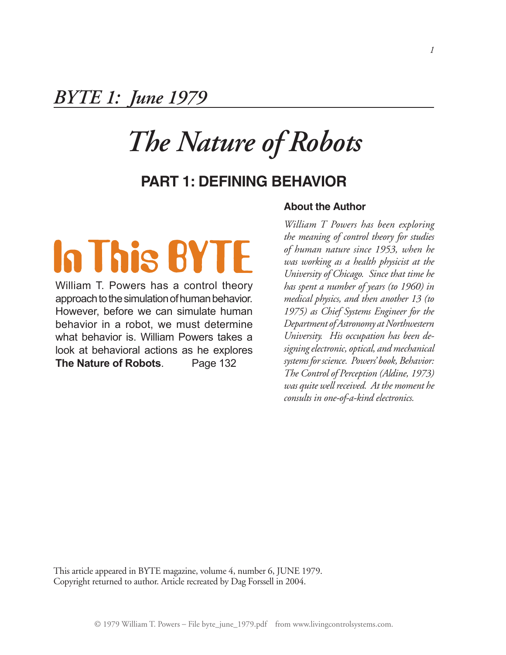## *BYTE 1: June 1979*

## *The Nature of Robots*

### **Part 1: Defining Behavior**

# In This BYTE

William T. Powers has a control theory approach to the simulation of human behavior. However, before we can simulate human behavior in a robot, we must determine what behavior is. William Powers takes a look at behavioral actions as he explores **The Nature of Robots**. Page 132

#### **About the Author**

*William T Powers has been exploring the meaning of control theory for studies of human nature since 1953, when he was working as a health physicist at the University of Chicago. Since that time he has spent a number of years (to 1960) in medical physics, and then another 13 (to 1975) as Chief Systems Engineer for the Department* of Astronomy at Northwestern *University. His occupation has been designingelectronic, optical, and mechanical systems forscience. Powers' book, Behavior: The Control of Perception (Aldine, 1973) was quite wellreceived. At the moment he consults in one-of-a-kind electronics.*

This article appeared in BYTE magazine, volume 4, number 6, JUNE 1979. Copyright returned to author. Article recreated by Dag Forssell in 2004.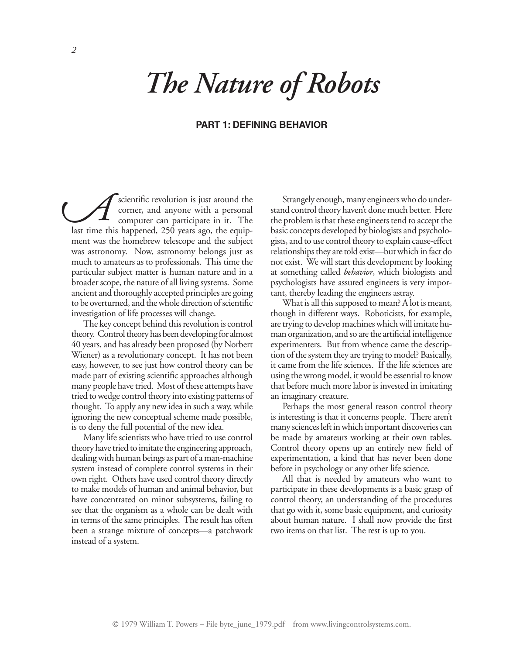# *The Nature of Robots*

#### **Part 1: Defining Behavior**

scientific revolution is just around the corner, and anyone with a personal computer can participate in it. The last time this happened, 250 years ago, the equipment was the homebrew telescope and the subject was astronomy. Now, astronomy belongs just as much to amateurs as to professionals. This time the particular subject matter is human nature and in a broader scope, the nature of all living systems. Some ancient and thoroughly accepted principles are going to be overturned, and the whole direction of scientific investigation of life processes will change. *A*

The key concept behind this revolution is control theory. Control theory has been developing for almost 40 years, and has already been proposed (by Norbert Wiener) as a revolutionary concept. It has not been easy, however, to see just how control theory can be made part of existing scientific approaches although many people have tried. Most of these attempts have tried to wedge control theory into existing patterns of thought. To apply any new idea in such a way, while ignoring the new conceptual scheme made possible, is to deny the full potential of the new idea.

Many life scientists who have tried to use control theory have tried to imitate the engineering approach, dealing with human beings as part of a man-machine system instead of complete control systems in their own right. Others have used control theory directly to make models of human and animal behavior, but have concentrated on minor subsystems, failing to see that the organism as a whole can be dealt with in terms of the same principles. The result has often been a strange mixture of concepts—a patchwork instead of a system.

Strangely enough, many engineers who do understand control theory haven't done much better. Here the problem is that these engineers tend to accept the basic concepts developed by biologists and psychologists, and to use control theory to explain cause-effect relationships they are told exist—but which in fact do not exist. We will start this development by looking at something called *behavior*, which biologists and psychologists have assured engineers is very important, thereby leading the engineers astray.

What is all this supposed to mean? A lot is meant, though in different ways. Roboticists, for example, are trying to develop machines which will imitate human organization, and so are the artificial intelligence experimenters. But from whence came the description of the system they are trying to model? Basically, it came from the life sciences. If the life sciences are using the wrong model, it would be essential to know that before much more labor is invested in imitating an imaginary creature.

Perhaps the most general reason control theory is interesting is that it concerns people. There aren't many sciences left in which important discoveries can be made by amateurs working at their own tables. Control theory opens up an entirely new field of experimentation, a kind that has never been done before in psychology or any other life science.

All that is needed by amateurs who want to participate in these developments is a basic grasp of control theory, an understanding of the procedures that go with it, some basic equipment, and curiosity about human nature. I shall now provide the first two items on that list. The rest is up to you.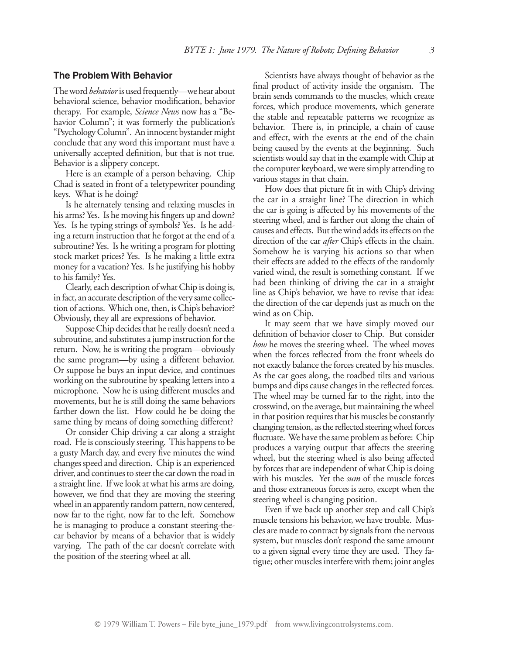#### **The Problem With Behavior**

The word *behavior* is used frequently—we hear about behavioral science, behavior modification, behavior therapy. For example, *Science News* now has a "Behavior Column"; it was formerly the publication's "Psychology Column". An innocent bystander might conclude that any word this important must have a universally accepted definition, but that is not true. Behavior is a slippery concept.

Here is an example of a person behaving. Chip Chad is seated in front of a teletypewriter pounding keys. What is he doing?

Is he alternately tensing and relaxing muscles in his arms? Yes. Is he moving his fingers up and down? Yes. Is he typing strings of symbols? Yes. Is he adding a return instruction that he forgot at the end of a subroutine? Yes. Is he writing a program for plotting stock market prices? Yes. Is he making a little extra money for a vacation? Yes. Is he justifying his hobby to his family? Yes.

Clearly, each description of what Chip is doing is, in fact, an accurate description of the very same collection of actions. Which one, then, is Chip's behavior? Obviously, they all are expressions of behavior.

Suppose Chip decides that he really doesn't need a subroutine, and substitutes a jump instruction for the return. Now, he is writing the program—obviously the same program—by using a different behavior. Or suppose he buys an input device, and continues working on the subroutine by speaking letters into a microphone. Now he is using different muscles and movements, but he is still doing the same behaviors farther down the list. How could he be doing the same thing by means of doing something different?

Or consider Chip driving a car along a straight road. He is consciously steering. This happens to be a gusty March day, and every five minutes the wind changes speed and direction. Chip is an experienced driver, and continues to steer the car down the road in a straight line. If we look at what his arms are doing, however, we find that they are moving the steering wheel in an apparently random pattern, now centered, now far to the right, now far to the left. Somehow he is managing to produce a constant steering-thecar behavior by means of a behavior that is widely varying. The path of the car doesn't correlate with the position of the steering wheel at all.

Scientists have always thought of behavior as the final product of activity inside the organism. The brain sends commands to the muscles, which create forces, which produce movements, which generate the stable and repeatable patterns we recognize as behavior. There is, in principle, a chain of cause and effect, with the events at the end of the chain being caused by the events at the beginning. Such scientists would say that in the example with Chip at the computer keyboard, we were simply attending to various stages in that chain.

How does that picture fit in with Chip's driving the car in a straight line? The direction in which the car is going is affected by his movements of the steering wheel, and is farther out along the chain of causes and effects. But the wind adds its effects on the direction of the car *after* Chip's effects in the chain. Somehow he is varying his actions so that when their effects are added to the effects of the randomly varied wind, the result is something constant. If we had been thinking of driving the car in a straight line as Chip's behavior, we have to revise that idea: the direction of the car depends just as much on the wind as on Chip.

It may seem that we have simply moved our definition of behavior closer to Chip. But consider *how* he moves the steering wheel. The wheel moves when the forces reflected from the front wheels do not exactly balance the forces created by his muscles. As the car goes along, the roadbed tilts and various bumps and dips cause changes in the reflected forces. The wheel may be turned far to the right, into the crosswind, on the average, but maintaining the wheel in that position requires that his muscles be constantly changing tension, as the reflected steering wheel forces fluctuate. We have the same problem as before: Chip produces a varying output that affects the steering wheel, but the steering wheel is also being affected by forces that are independent of what Chip is doing with his muscles. Yet the *sum* of the muscle forces and those extraneous forces is zero, except when the steering wheel is changing position.

Even if we back up another step and call Chip's muscle tensions his behavior, we have trouble. Muscles are made to contract by signals from the nervous system, but muscles don't respond the same amount to a given signal every time they are used. They fatigue; other muscles interfere with them; joint angles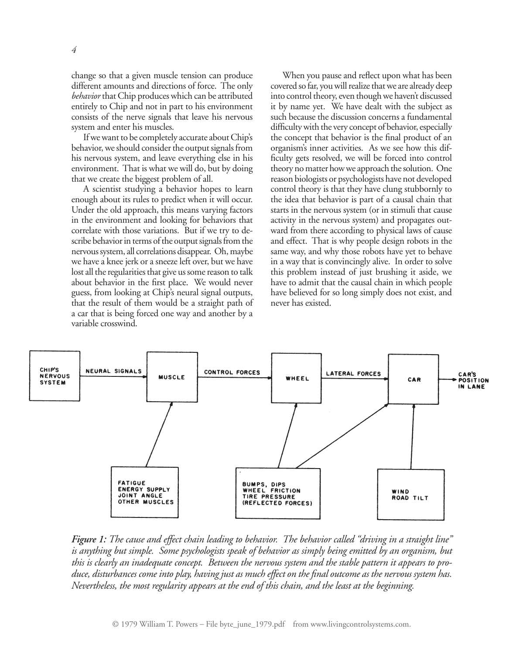change so that a given muscle tension can produce different amounts and directions of force. The only *behavior* that Chip produces which can be attributed entirely to Chip and not in part to his environment consists of the nerve signals that leave his nervous system and enter his muscles.

If we want to be completely accurate about Chip's behavior, we should consider the output signals from his nervous system, and leave everything else in his environment. That is what we will do, but by doing that we create the biggest problem of all.

A scientist studying a behavior hopes to learn enough about its rules to predict when it will occur. Under the old approach, this means varying factors in the environment and looking for behaviors that correlate with those variations. But if we try to describe behavior in terms of the output signals from the nervous system, all correlations disappear. Oh, maybe we have a knee jerk or a sneeze left over, but we have lost all the regularities that give us some reason to talk about behavior in the first place. We would never guess, from looking at Chip's neural signal outputs, that the result of them would be a straight path of a car that is being forced one way and another by a variable crosswind.

When you pause and reflect upon what has been covered so far, you will realize that we are already deep into control theory, even though we haven't discussed it by name yet. We have dealt with the subject as such because the discussion concerns a fundamental difficulty with the very concept of behavior, especially the concept that behavior is the final product of an organism's inner activities. As we see how this difficulty gets resolved, we will be forced into control theory no matter how we approach the solution. One reason biologists or psychologists have not developed control theory is that they have clung stubbornly to the idea that behavior is part of a causal chain that starts in the nervous system (or in stimuli that cause activity in the nervous system) and propagates outward from there according to physical laws of cause and effect. That is why people design robots in the same way, and why those robots have yet to behave in a way that is convincingly alive. In order to solve this problem instead of just brushing it aside, we have to admit that the causal chain in which people have believed for so long simply does not exist, and never has existed.



*Figure 1: The cause and effect chain leading to behavior. The behavior called "driving in a straight line" is anything but simple. Some psychologists speak of behavior as simply being emitted by an organism, but* this is clearly an inadequate concept. Between the nervous system and the stable pattern it appears to produce, disturbances come into play, having just as much effect on the final outcome as the nervous system has. *Nevertheless, the most regularity appears at the end of this chain, and the least at the beginning.*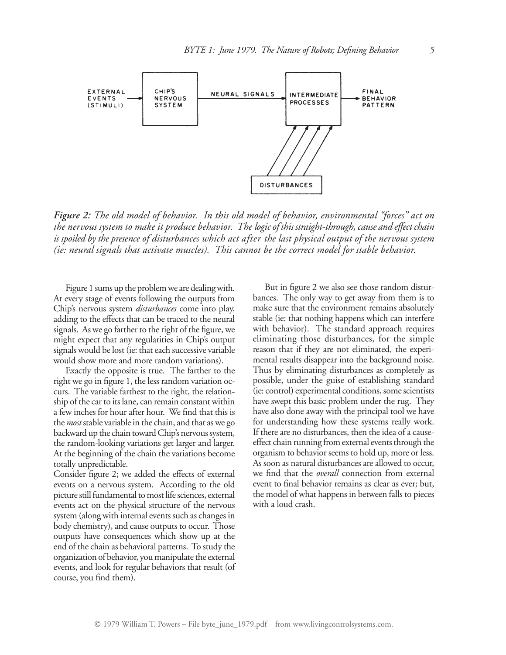

*Figure 2: The old model of behavior. In this old model of behavior, environmental "forces" act on the nervous system to make it produce behavior. The logic of this straight-through,cause and effectchain* is spoiled by the presence of disturbances which act after the last physical output of the nervous system *(ie: neural signals that activate muscles). This cannot be the correct model for stable behavior.*

Figure 1 sums up the problem we are dealing with. At every stage of events following the outputs from Chip's nervous system *disturbances* come into play, adding to the effects that can be traced to the neural signals. As we go farther to the right of the figure, we might expect that any regularities in Chip's output signals would be lost (ie: that each successive variable would show more and more random variations).

Exactly the opposite is true. The farther to the right we go in figure 1, the less random variation occurs. The variable farthest to the right, the relationship of the car to its lane, can remain constant within a few inches for hour after hour. We find that this is the *most* stable variable in the chain, and that as we go backward up the chain toward Chip's nervous system, the random-looking variations get larger and larger. At the beginning of the chain the variations become totally unpredictable.

Consider figure 2; we added the effects of external events on a nervous system. According to the old picture still fundamental to most life sciences, external events act on the physical structure of the nervous system (along with internal events such as changes in body chemistry), and cause outputs to occur. Those outputs have consequences which show up at the end of the chain as behavioral patterns. To study the organization of behavior, you manipulate the external events, and look for regular behaviors that result (of course, you find them).

But in figure 2 we also see those random disturbances. The only way to get away from them is to make sure that the environment remains absolutely stable (ie: that nothing happens which can interfere with behavior). The standard approach requires eliminating those disturbances, for the simple reason that if they are not eliminated, the experimental results disappear into the background noise. Thus by eliminating disturbances as completely as possible, under the guise of establishing standard (ie: control) experimental conditions, some scientists have swept this basic problem under the rug. They have also done away with the principal tool we have for understanding how these systems really work. If there are no disturbances, then the idea of a causeeffect chain running from external events through the organism to behavior seems to hold up, more or less. As soon as natural disturbances are allowed to occur, we find that the *overall* connection from external event to final behavior remains as clear as ever; but, the model of what happens in between falls to pieces with a loud crash.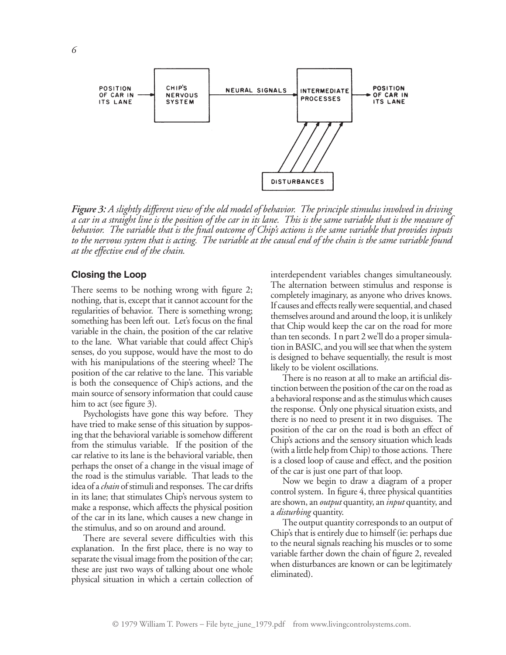

*Figure 3: A slightly different view of the old model of behavior. The principle stimulus involved in driving* a car in a straight line is the position of the car in its lane. This is the same variable that is the measure of behavior. The variable that is the final outcome of Chip's actions is the same variable that provides inputs to the nervous system that is acting. The variable at the causal end of the chain is the same variable found *at the effective end of the chain.*

#### **Closing the Loop**

There seems to be nothing wrong with figure 2; nothing, that is, except that it cannot account for the regularities of behavior. There is something wrong; something has been left out. Let's focus on the final variable in the chain, the position of the car relative to the lane. What variable that could affect Chip's senses, do you suppose, would have the most to do with his manipulations of the steering wheel? The position of the car relative to the lane. This variable is both the consequence of Chip's actions, and the main source of sensory information that could cause him to act (see figure 3).

Psychologists have gone this way before. They have tried to make sense of this situation by supposing that the behavioral variable is somehow different from the stimulus variable. If the position of the car relative to its lane is the behavioral variable, then perhaps the onset of a change in the visual image of the road is the stimulus variable. That leads to the idea of a *chain* of stimuli and responses. The car drifts in its lane; that stimulates Chip's nervous system to make a response, which affects the physical position of the car in its lane, which causes a new change in the stimulus, and so on around and around.

There are several severe difficulties with this explanation. In the first place, there is no way to separate the visual image from the position of the car; these are just two ways of talking about one whole physical situation in which a certain collection of interdependent variables changes simultaneously. The alternation between stimulus and response is completely imaginary, as anyone who drives knows. If causes and effects really were sequential, and chased themselves around and around the loop, it is unlikely that Chip would keep the car on the road for more than ten seconds. I n part 2 we'll do a proper simulation in BASIC, and you will see that when the system is designed to behave sequentially, the result is most likely to be violent oscillations.

There is no reason at all to make an artificial distinction between the position of the car on the road as a behavioral response and as the stimulus which causes the response. Only one physical situation exists, and there is no need to present it in two disguises. The position of the car on the road is both an effect of Chip's actions and the sensory situation which leads (with a little help from Chip) to those actions. There is a closed loop of cause and effect, and the position of the car is just one part of that loop.

Now we begin to draw a diagram of a proper control system. In figure 4, three physical quantities are shown, an *output* quantity, an *input* quantity, and a *disturbing* quantity.

The output quantity corresponds to an output of Chip's that is entirely due to himself (ie: perhaps due to the neural signals reaching his muscles or to some variable farther down the chain of figure 2, revealed when disturbances are known or can be legitimately eliminated).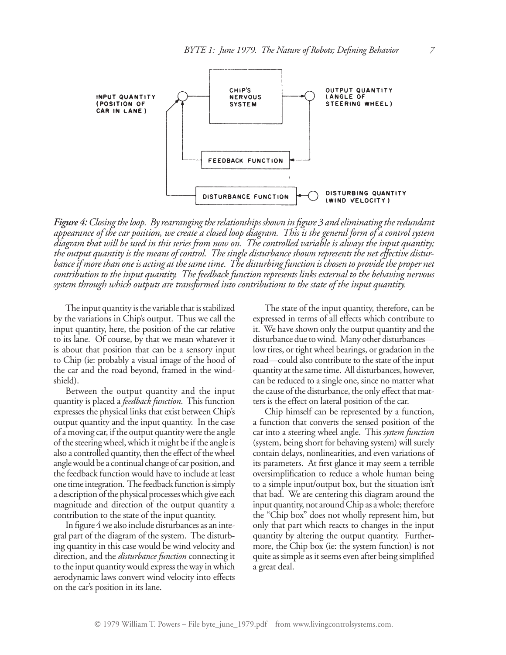

*Figure 4: Closingtheloop. Byrearrangingtherelationships shown in figure 3 and eliminatingtheredundant* appearance of the car position, we create a closed loop diagram. This is the general form of a control system diagram that will be used in this series from now on. The controlled variable is always the input quantity; *the output quantity is the means of control. The single disturbance shown represents the net effective disturbanceif morethan oneis acting at thesametime. The disturbingfunction ischosen to providethe proper net contribution to the input quantity. The feedback function represents links external to the behaving nervous system through which outputs are transformed into contributions to the state of the input quantity.*

The input quantity is the variable that is stabilized by the variations in Chip's output. Thus we call the input quantity, here, the position of the car relative to its lane. Of course, by that we mean whatever it is about that position that can be a sensory input to Chip (ie: probably a visual image of the hood of the car and the road beyond, framed in the windshield).

Between the output quantity and the input quantity is placed a *feedback function*. This function expresses the physical links that exist between Chip's output quantity and the input quantity. In the case of a moving car, if the output quantity were the angle of the steering wheel, which it might be if the angle is also a controlled quantity, then the effect of the wheel angle would be a continual change of car position, and the feedback function would have to include at least one time integration. The feedback function is simply a description of the physical processes which give each magnitude and direction of the output quantity a contribution to the state of the input quantity.

In figure 4 we also include disturbances as an integral part of the diagram of the system. The disturbing quantity in this case would be wind velocity and direction, and the *disturbance function* connecting it to the input quantity would express the way in which aerodynamic laws convert wind velocity into effects on the car's position in its lane.

The state of the input quantity, therefore, can be expressed in terms of all effects which contribute to it. We have shown only the output quantity and the disturbance due to wind. Many other disturbances low tires, or tight wheel bearings, or gradation in the road—could also contribute to the state of the input quantity at the same time. All disturbances, however, can be reduced to a single one, since no matter what the cause of the disturbance, the only effect that matters is the effect on lateral position of the car.

Chip himself can be represented by a function, a function that converts the sensed position of the car into a steering wheel angle. This *system function* (system, being short for behaving system) will surely contain delays, nonlinearities, and even variations of its parameters. At first glance it may seem a terrible oversimplification to reduce a whole human being to a simple input/output box, but the situation isn't that bad. We are centering this diagram around the input quantity, not around Chip as a whole; therefore the "Chip box" does not wholly represent him, but only that part which reacts to changes in the input quantity by altering the output quantity. Furthermore, the Chip box (ie: the system function) is not quite as simple as it seems even after being simplified a great deal.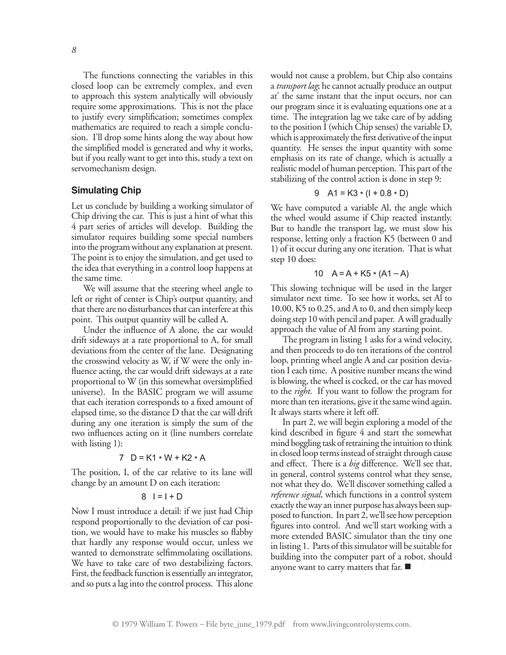The functions connecting the variables in this closed loop can be extremely complex, and even to approach this system analytically will obviously require some approximations. This is not the place to justify every simplification; sometimes complex mathematics are required to reach a simple conclusion. I'll drop some hints along the way about how the simplified model is generated and why it works, but if you really want to get into this, study a text on servomechanism design.

#### **Simulating Chip**

Let us conclude by building a working simulator of Chip driving the car. This is just a hint of what this 4 part series of articles will develop. Building the simulator requires building some special numbers into the program without any explanation at present. The point is to enjoy the simulation, and get used to the idea that everything in a control loop happens at the same time.

We will assume that the steering wheel angle to left or right of center is Chip's output quantity, and that there are no disturbances that can interfere at this point. This output quantity will be called A.

Under the influence of A alone, the car would drift sideways at a rate proportional to A, for small deviations from the center of the lane. Designating the crosswind velocity as W, if W were the only influence acting, the car would drift sideways at a rate proportional to W (in this somewhat oversimplified universe). In the BASIC program we will assume that each iteration corresponds to a fixed amount of elapsed time, so the distance D that the car will drift during any one iteration is simply the sum of the two influences acting on it (line numbers correlate with listing 1):

$$
7 \quad D = K1 * W + K2 * A
$$

The position, I, of the car relative to its lane will change by an amount D on each iteration:

#### $8$  | = | + D

Now I must introduce a detail: if we just had Chip respond proportionally to the deviation of car position, we would have to make his muscles so flabby that hardly any response would occur, unless we wanted to demonstrate selfimmolating oscillations. We have to take care of two destabilizing factors. First, the feedback function is essentially an integrator, and so puts a lag into the control process. This alone

would not cause a problem, but Chip also contains a *transport lag*; he cannot actually produce an output at' the same instant that the input occurs, nor can our program since it is evaluating equations one at a time. The integration lag we take care of by adding to the position I (which Chip senses) the variable D, which is approximately the first derivative of the input quantity. He senses the input quantity with some emphasis on its rate of change, which is actually a realistic model of human perception. This part of the stabilizing of the control action is done in step 9:

9 A1 = K3 \* (I + 0.8 \* D)

We have computed a variable Al, the angle which the wheel would assume if Chip reacted instantly. But to handle the transport lag, we must slow his response, letting only a fraction K5 (between 0 and 1) of it occur during any one iteration. That is what step 10 does:

10 
$$
A = A + K5 * (A1 - A)
$$

This slowing technique will be used in the larger simulator next time. To see how it works, set Al to 10.00, K5 to 0.25, and A to 0, and then simply keep doing step 10 with pencil and paper. A will gradually approach the value of Al from any starting point.

The program in listing 1 asks for a wind velocity, and then proceeds to do ten iterations of the control loop, printing wheel angle A and car position deviation I each time. A positive number means the wind is blowing, the wheel is cocked, or the car has moved to the *right*. If you want to follow the program for more than ten iterations, give it the same wind again. It always starts where it left off.

In part 2, we will begin exploring a model of the kind described in figure 4 and start the somewhat mind boggling task of retraining the intuition to think in closed loop terms instead of straight through cause and effect. There is a *big* difference. We'll see that, in general, control systems control what they sense, not what they do. We'll discover something called a *reference signal*, which functions in a control system exactly the way an inner purpose has always been supposed to function. In part 2, we'll see how perception figures into control. And we'll start working with a more extended BASIC simulator than the tiny one in listing 1. Parts of this simulator will be suitable for building into the computer part of a robot, should anyone want to carry matters that far.  $\blacksquare$